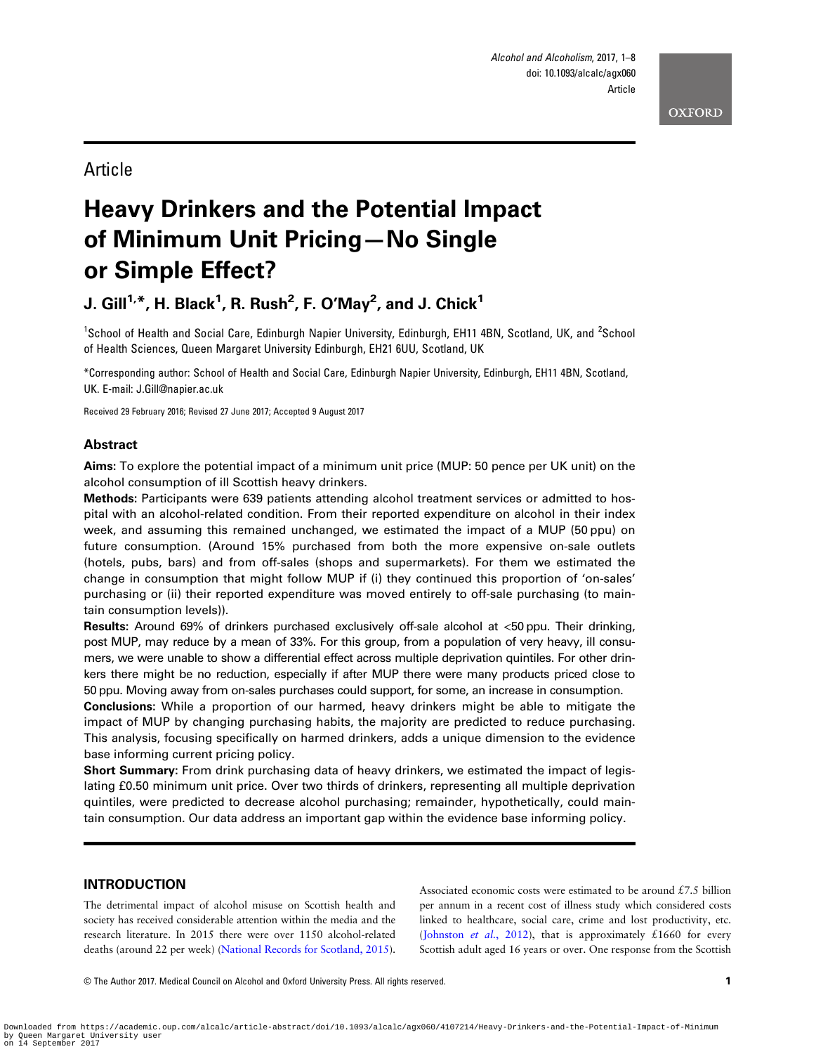# Article

# Heavy Drinkers and the Potential Impact of Minimum Unit Pricing—No Single or Simple Effect?

# J. Gill $^{1,*}$ , H. Black $^{1}$ , R. Rush $^{2}$ , F. O'May $^{2}$ , and J. Chick $^{1}$

<sup>1</sup>School of Health and Social Care, Edinburgh Napier University, Edinburgh, EH11 4BN, Scotland, UK, and <sup>2</sup>School of Health Sciences, Queen Margaret University Edinburgh, EH21 6UU, Scotland, UK

\*Corresponding author: School of Health and Social Care, Edinburgh Napier University, Edinburgh, EH11 4BN, Scotland, UK. E-mail: J.Gill@napier.ac.uk

Received 29 February 2016; Revised 27 June 2017; Accepted 9 August 2017

### Abstract

Aims: To explore the potential impact of a minimum unit price (MUP: 50 pence per UK unit) on the alcohol consumption of ill Scottish heavy drinkers.

Methods: Participants were 639 patients attending alcohol treatment services or admitted to hospital with an alcohol-related condition. From their reported expenditure on alcohol in their index week, and assuming this remained unchanged, we estimated the impact of a MUP (50 ppu) on future consumption. (Around 15% purchased from both the more expensive on-sale outlets (hotels, pubs, bars) and from off-sales (shops and supermarkets). For them we estimated the change in consumption that might follow MUP if (i) they continued this proportion of 'on-sales' purchasing or (ii) their reported expenditure was moved entirely to off-sale purchasing (to maintain consumption levels)).

Results: Around 69% of drinkers purchased exclusively off-sale alcohol at <50 ppu. Their drinking, post MUP, may reduce by a mean of 33%. For this group, from a population of very heavy, ill consumers, we were unable to show a differential effect across multiple deprivation quintiles. For other drinkers there might be no reduction, especially if after MUP there were many products priced close to 50 ppu. Moving away from on-sales purchases could support, for some, an increase in consumption.

Conclusions: While a proportion of our harmed, heavy drinkers might be able to mitigate the impact of MUP by changing purchasing habits, the majority are predicted to reduce purchasing. This analysis, focusing specifically on harmed drinkers, adds a unique dimension to the evidence base informing current pricing policy.

Short Summary: From drink purchasing data of heavy drinkers, we estimated the impact of legislating £0.50 minimum unit price. Over two thirds of drinkers, representing all multiple deprivation quintiles, were predicted to decrease alcohol purchasing; remainder, hypothetically, could maintain consumption. Our data address an important gap within the evidence base informing policy.

# INTRODUCTION

The detrimental impact of alcohol misuse on Scottish health and society has received considerable attention within the media and the research literature. In 2015 there were over 1150 alcohol-related deaths (around 22 per week) [\(National Records for Scotland, 2015](#page-6-0)). Associated economic costs were estimated to be around  $£7.5$  billion per annum in a recent cost of illness study which considered costs linked to healthcare, social care, crime and lost productivity, etc. ([Johnston](#page-6-0) *et al.*, 2012), that is approximately £1660 for every Scottish adult aged 16 years or over. One response from the Scottish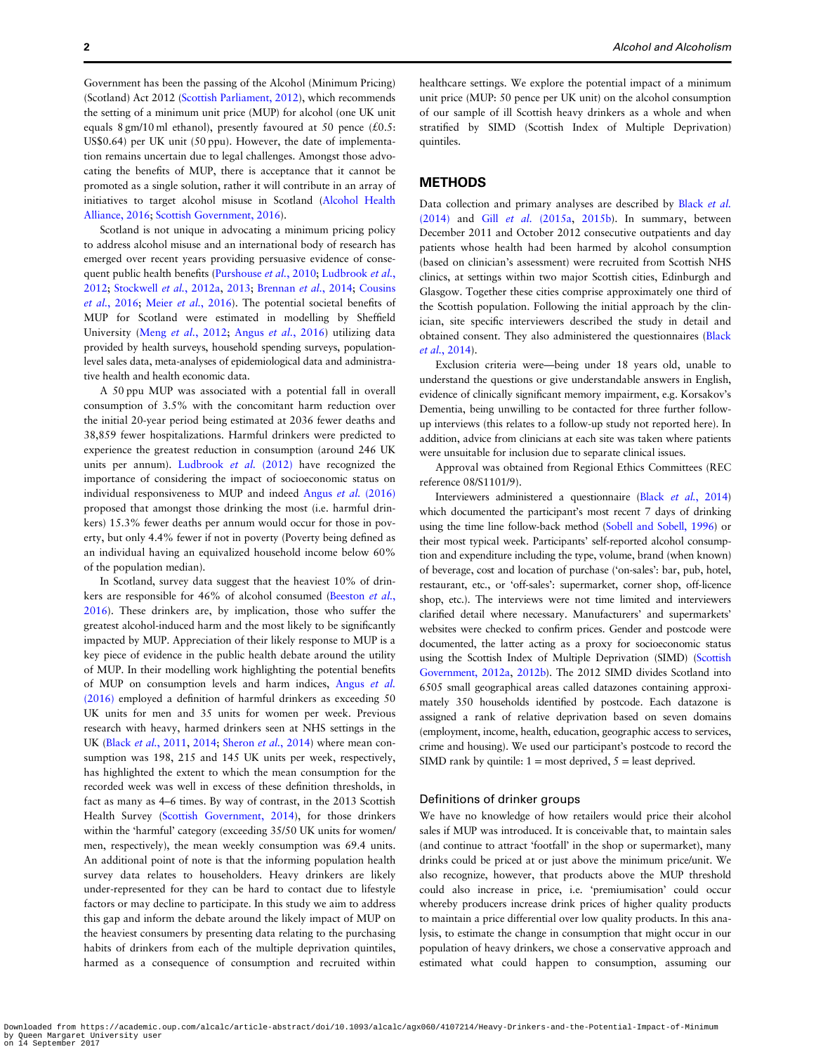Government has been the passing of the Alcohol (Minimum Pricing) (Scotland) Act 2012 [\(Scottish Parliament, 2012](#page-7-0)), which recommends the setting of a minimum unit price (MUP) for alcohol (one UK unit equals 8 gm/10 ml ethanol), presently favoured at 50 pence  $(£0.5;$ US\$0.64) per UK unit (50 ppu). However, the date of implementation remains uncertain due to legal challenges. Amongst those advocating the benefits of MUP, there is acceptance that it cannot be promoted as a single solution, rather it will contribute in an array of initiatives to target alcohol misuse in Scotland [\(Alcohol Health](#page-6-0) [Alliance, 2016;](#page-6-0) [Scottish Government, 2016](#page-7-0)).

Scotland is not unique in advocating a minimum pricing policy to address alcohol misuse and an international body of research has emerged over recent years providing persuasive evidence of conse-quent public health benefits ([Purshouse](#page-6-0) et al., 2010; [Ludbrook](#page-6-0) et al., [2012;](#page-6-0) [Stockwell](#page-7-0) et al., 2012a, [2013](#page-7-0); [Brennan](#page-6-0) et al., 2014; [Cousins](#page-6-0) et al.[, 2016;](#page-6-0) Meier et al.[, 2016\)](#page-6-0). The potential societal benefits of MUP for Scotland were estimated in modelling by Sheffield University (Meng et al.[, 2012](#page-6-0); Angus et al.[, 2016\)](#page-6-0) utilizing data provided by health surveys, household spending surveys, populationlevel sales data, meta-analyses of epidemiological data and administrative health and health economic data.

A 50 ppu MUP was associated with a potential fall in overall consumption of 3.5% with the concomitant harm reduction over the initial 20-year period being estimated at 2036 fewer deaths and 38,859 fewer hospitalizations. Harmful drinkers were predicted to experience the greatest reduction in consumption (around 246 UK units per annum). [Ludbrook](#page-6-0) et al. (2012) have recognized the importance of considering the impact of socioeconomic status on individual responsiveness to MUP and indeed Angus et al. [\(2016\)](#page-6-0) proposed that amongst those drinking the most (i.e. harmful drinkers) 15.3% fewer deaths per annum would occur for those in poverty, but only 4.4% fewer if not in poverty (Poverty being defined as an individual having an equivalized household income below 60% of the population median).

In Scotland, survey data suggest that the heaviest 10% of drin-kers are responsible for 46% of alcohol consumed ([Beeston](#page-6-0) et al., [2016\)](#page-6-0). These drinkers are, by implication, those who suffer the greatest alcohol-induced harm and the most likely to be significantly impacted by MUP. Appreciation of their likely response to MUP is a key piece of evidence in the public health debate around the utility of MUP. In their modelling work highlighting the potential benefits of MUP on consumption levels and harm indices, [Angus](#page-6-0) et al. [\(2016\)](#page-6-0) employed a definition of harmful drinkers as exceeding 50 UK units for men and 35 units for women per week. Previous research with heavy, harmed drinkers seen at NHS settings in the UK (Black et al.[, 2011](#page-6-0), [2014;](#page-6-0) [Sheron](#page-7-0) et al., 2014) where mean consumption was 198, 215 and 145 UK units per week, respectively, has highlighted the extent to which the mean consumption for the recorded week was well in excess of these definition thresholds, in fact as many as 4–6 times. By way of contrast, in the 2013 Scottish Health Survey ([Scottish Government, 2014\)](#page-6-0), for those drinkers within the 'harmful' category (exceeding 35/50 UK units for women/ men, respectively), the mean weekly consumption was 69.4 units. An additional point of note is that the informing population health survey data relates to householders. Heavy drinkers are likely under-represented for they can be hard to contact due to lifestyle factors or may decline to participate. In this study we aim to address this gap and inform the debate around the likely impact of MUP on the heaviest consumers by presenting data relating to the purchasing habits of drinkers from each of the multiple deprivation quintiles, harmed as a consequence of consumption and recruited within healthcare settings. We explore the potential impact of a minimum unit price (MUP: 50 pence per UK unit) on the alcohol consumption of our sample of ill Scottish heavy drinkers as a whole and when stratified by SIMD (Scottish Index of Multiple Deprivation) quintiles.

## METHODS

Data collection and primary analyses are described by [Black](#page-6-0) et al. [\(2014\)](#page-6-0) and Gill et al. [\(2015a](#page-6-0), [2015b\)](#page-6-0). In summary, between December 2011 and October 2012 consecutive outpatients and day patients whose health had been harmed by alcohol consumption (based on clinician's assessment) were recruited from Scottish NHS clinics, at settings within two major Scottish cities, Edinburgh and Glasgow. Together these cities comprise approximately one third of the Scottish population. Following the initial approach by the clinician, site specific interviewers described the study in detail and obtained consent. They also administered the questionnaires [\(Black](#page-6-0) et al.[, 2014\)](#page-6-0).

Exclusion criteria were—being under 18 years old, unable to understand the questions or give understandable answers in English, evidence of clinically significant memory impairment, e.g. Korsakov's Dementia, being unwilling to be contacted for three further followup interviews (this relates to a follow-up study not reported here). In addition, advice from clinicians at each site was taken where patients were unsuitable for inclusion due to separate clinical issues.

Approval was obtained from Regional Ethics Committees (REC reference 08/S1101/9).

Interviewers administered a questionnaire (Black et al.[, 2014](#page-6-0)) which documented the participant's most recent 7 days of drinking using the time line follow-back method ([Sobell and Sobell, 1996](#page-7-0)) or their most typical week. Participants' self-reported alcohol consumption and expenditure including the type, volume, brand (when known) of beverage, cost and location of purchase ('on-sales': bar, pub, hotel, restaurant, etc., or 'off-sales': supermarket, corner shop, off-licence shop, etc.). The interviews were not time limited and interviewers clarified detail where necessary. Manufacturers' and supermarkets' websites were checked to confirm prices. Gender and postcode were documented, the latter acting as a proxy for socioeconomic status using the Scottish Index of Multiple Deprivation (SIMD) [\(Scottish](#page-6-0) [Government, 2012a,](#page-6-0) [2012b\)](#page-6-0). The 2012 SIMD divides Scotland into 6505 small geographical areas called datazones containing approximately 350 households identified by postcode. Each datazone is assigned a rank of relative deprivation based on seven domains (employment, income, health, education, geographic access to services, crime and housing). We used our participant's postcode to record the SIMD rank by quintile:  $1 = \text{most}$  deprived,  $5 = \text{least}$  deprived.

#### Definitions of drinker groups

We have no knowledge of how retailers would price their alcohol sales if MUP was introduced. It is conceivable that, to maintain sales (and continue to attract 'footfall' in the shop or supermarket), many drinks could be priced at or just above the minimum price/unit. We also recognize, however, that products above the MUP threshold could also increase in price, i.e. 'premiumisation' could occur whereby producers increase drink prices of higher quality products to maintain a price differential over low quality products. In this analysis, to estimate the change in consumption that might occur in our population of heavy drinkers, we chose a conservative approach and estimated what could happen to consumption, assuming our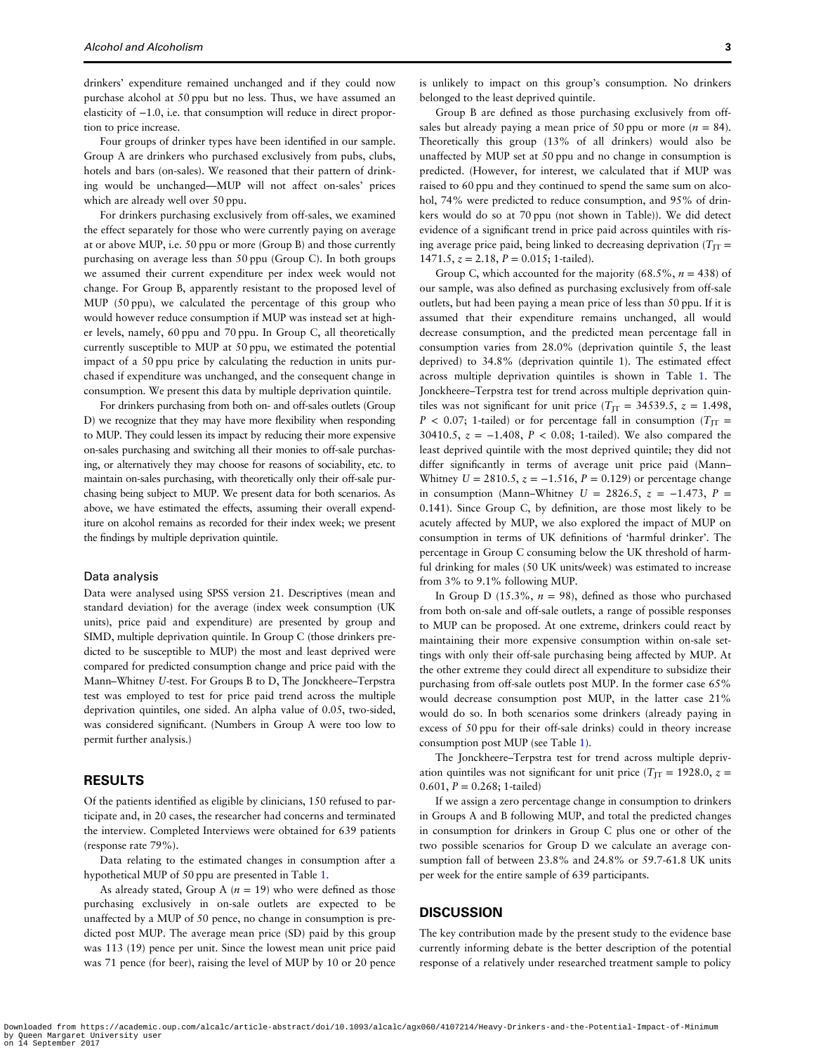drinkers' expenditure remained unchanged and if they could now purchase alcohol at 50 ppu but no less. Thus, we have assumed an elasticity of −1.0, i.e. that consumption will reduce in direct proportion to price increase.

Four groups of drinker types have been identified in our sample. Group A are drinkers who purchased exclusively from pubs, clubs, hotels and bars (on-sales). We reasoned that their pattern of drinking would be unchanged—MUP will not affect on-sales' prices which are already well over 50 ppu.

For drinkers purchasing exclusively from off-sales, we examined the effect separately for those who were currently paying on average at or above MUP, i.e. 50 ppu or more (Group B) and those currently purchasing on average less than 50 ppu (Group C). In both groups we assumed their current expenditure per index week would not change. For Group B, apparently resistant to the proposed level of MUP (50 ppu), we calculated the percentage of this group who would however reduce consumption if MUP was instead set at higher levels, namely, 60 ppu and 70 ppu. In Group C, all theoretically currently susceptible to MUP at 50 ppu, we estimated the potential impact of a 50 ppu price by calculating the reduction in units purchased if expenditure was unchanged, and the consequent change in consumption. We present this data by multiple deprivation quintile.

For drinkers purchasing from both on- and off-sales outlets (Group D) we recognize that they may have more flexibility when responding to MUP. They could lessen its impact by reducing their more expensive on-sales purchasing and switching all their monies to off-sale purchasing, or alternatively they may choose for reasons of sociability, etc. to maintain on-sales purchasing, with theoretically only their off-sale purchasing being subject to MUP. We present data for both scenarios. As above, we have estimated the effects, assuming their overall expenditure on alcohol remains as recorded for their index week; we present the findings by multiple deprivation quintile.

#### Data analysis

Data were analysed using SPSS version 21. Descriptives (mean and standard deviation) for the average (index week consumption (UK units), price paid and expenditure) are presented by group and SIMD, multiple deprivation quintile. In Group C (those drinkers predicted to be susceptible to MUP) the most and least deprived were compared for predicted consumption change and price paid with the Mann–Whitney U-test. For Groups B to D, The Jonckheere–Terpstra test was employed to test for price paid trend across the multiple deprivation quintiles, one sided. An alpha value of 0.05, two-sided, was considered significant. (Numbers in Group A were too low to permit further analysis.)

#### RESULTS

Of the patients identified as eligible by clinicians, 150 refused to participate and, in 20 cases, the researcher had concerns and terminated the interview. Completed Interviews were obtained for 639 patients (response rate 79%).

Data relating to the estimated changes in consumption after a hypothetical MUP of 50 ppu are presented in Table [1.](#page-3-0)

As already stated, Group A ( $n = 19$ ) who were defined as those purchasing exclusively in on-sale outlets are expected to be unaffected by a MUP of 50 pence, no change in consumption is predicted post MUP. The average mean price (SD) paid by this group was 113 (19) pence per unit. Since the lowest mean unit price paid was 71 pence (for beer), raising the level of MUP by 10 or 20 pence is unlikely to impact on this group's consumption. No drinkers belonged to the least deprived quintile.

Group B are defined as those purchasing exclusively from offsales but already paying a mean price of 50 ppu or more ( $n = 84$ ). Theoretically this group (13% of all drinkers) would also be unaffected by MUP set at 50 ppu and no change in consumption is predicted. (However, for interest, we calculated that if MUP was raised to 60 ppu and they continued to spend the same sum on alcohol, 74% were predicted to reduce consumption, and 95% of drinkers would do so at 70 ppu (not shown in Table)). We did detect evidence of a significant trend in price paid across quintiles with rising average price paid, being linked to decreasing deprivation ( $T_{\text{IT}}$  =  $1471.5, z = 2.18, P = 0.015; 1-tailed$ .

Group C, which accounted for the majority (68.5%,  $n = 438$ ) of our sample, was also defined as purchasing exclusively from off-sale outlets, but had been paying a mean price of less than 50 ppu. If it is assumed that their expenditure remains unchanged, all would decrease consumption, and the predicted mean percentage fall in consumption varies from 28.0% (deprivation quintile 5, the least deprived) to 34.8% (deprivation quintile 1). The estimated effect across multiple deprivation quintiles is shown in Table [1.](#page-3-0) The Jonckheere–Terpstra test for trend across multiple deprivation quintiles was not significant for unit price ( $T_{\text{IT}}$  = 34539.5,  $z = 1.498$ ,  $P < 0.07$ ; 1-tailed) or for percentage fall in consumption ( $T_{\text{IT}}$  = 30410.5,  $z = -1.408$ ,  $P < 0.08$ ; 1-tailed). We also compared the least deprived quintile with the most deprived quintile; they did not differ significantly in terms of average unit price paid (Mann– Whitney  $U = 2810.5$ ,  $z = -1.516$ ,  $P = 0.129$ ) or percentage change in consumption (Mann–Whitney  $U = 2826.5$ ,  $z = -1.473$ ,  $P =$ 0.141). Since Group C, by definition, are those most likely to be acutely affected by MUP, we also explored the impact of MUP on consumption in terms of UK definitions of 'harmful drinker'. The percentage in Group C consuming below the UK threshold of harmful drinking for males (50 UK units/week) was estimated to increase from 3% to 9.1% following MUP.

In Group D (15.3%,  $n = 98$ ), defined as those who purchased from both on-sale and off-sale outlets, a range of possible responses to MUP can be proposed. At one extreme, drinkers could react by maintaining their more expensive consumption within on-sale settings with only their off-sale purchasing being affected by MUP. At the other extreme they could direct all expenditure to subsidize their purchasing from off-sale outlets post MUP. In the former case 65% would decrease consumption post MUP, in the latter case 21% would do so. In both scenarios some drinkers (already paying in excess of 50 ppu for their off-sale drinks) could in theory increase consumption post MUP (see Table [1](#page-3-0)).

The Jonckheere–Terpstra test for trend across multiple deprivation quintiles was not significant for unit price ( $T_{\text{IT}} = 1928.0$ ,  $z =$ 0.601,  $P = 0.268$ ; 1-tailed)

If we assign a zero percentage change in consumption to drinkers in Groups A and B following MUP, and total the predicted changes in consumption for drinkers in Group C plus one or other of the two possible scenarios for Group D we calculate an average consumption fall of between 23.8% and 24.8% or 59.7-61.8 UK units per week for the entire sample of 639 participants.

#### **DISCUSSION**

The key contribution made by the present study to the evidence base currently informing debate is the better description of the potential response of a relatively under researched treatment sample to policy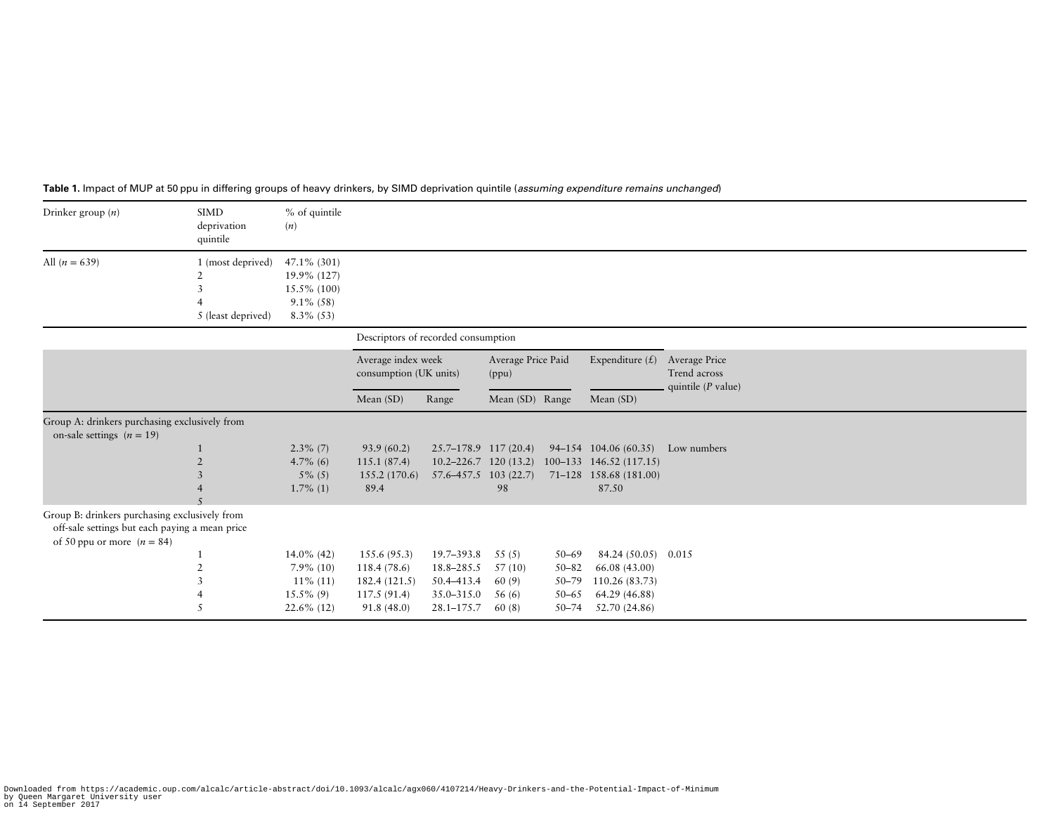| Drinker group $(n)$                                                                                                             | <b>SIMD</b><br>deprivation<br>quintile                  | % of quintile<br>(n)                                                         |                                                    |                                                    |                             |                        |                                                                                                           |                                                       |
|---------------------------------------------------------------------------------------------------------------------------------|---------------------------------------------------------|------------------------------------------------------------------------------|----------------------------------------------------|----------------------------------------------------|-----------------------------|------------------------|-----------------------------------------------------------------------------------------------------------|-------------------------------------------------------|
| All $(n = 639)$                                                                                                                 | 1 (most deprived)<br>$\mathbf{3}$<br>5 (least deprived) | 47.1% (301)<br>19.9% (127)<br>$15.5\%$ (100)<br>$9.1\%$ (58)<br>$8.3\%$ (53) |                                                    |                                                    |                             |                        |                                                                                                           |                                                       |
|                                                                                                                                 |                                                         |                                                                              | Descriptors of recorded consumption                |                                                    |                             |                        |                                                                                                           |                                                       |
|                                                                                                                                 |                                                         |                                                                              | Average index week<br>consumption (UK units)       |                                                    | Average Price Paid<br>(ppu) |                        | Expenditure $(f)$                                                                                         | Average Price<br>Trend across<br>quintile $(P$ value) |
|                                                                                                                                 |                                                         |                                                                              | Mean $(SD)$                                        | Range                                              | Mean (SD) Range             |                        | Mean (SD)                                                                                                 |                                                       |
| Group A: drinkers purchasing exclusively from<br>on-sale settings $(n = 19)$                                                    |                                                         |                                                                              |                                                    |                                                    |                             |                        |                                                                                                           |                                                       |
|                                                                                                                                 |                                                         | $2.3\%$ (7)<br>4.7% (6)<br>$5\%$ (5)<br>$1.7\%$ (1)                          | 93.9(60.2)<br>115.1(87.4)<br>155.2 (170.6)<br>89.4 | $25.7 - 178.9$ 117 (20.4)<br>57.6–457.5 103 (22.7) | 98                          |                        | 94-154 104.06 (60.35)<br>10.2-226.7 120 (13.2) 100-133 146.52 (117.15)<br>71-128 158.68 (181.00)<br>87.50 | Low numbers                                           |
| Group B: drinkers purchasing exclusively from<br>off-sale settings but each paying a mean price<br>of 50 ppu or more $(n = 84)$ |                                                         |                                                                              |                                                    |                                                    |                             |                        |                                                                                                           |                                                       |
|                                                                                                                                 |                                                         | 14.0% (42)                                                                   | 155.6(95.3)                                        | 19.7–393.8                                         | 55(5)                       | $50 - 69$              | 84.24 (50.05) 0.015                                                                                       |                                                       |
|                                                                                                                                 |                                                         | $7.9\%$ (10)                                                                 | 118.4 (78.6)                                       | 18.8-285.5                                         | 57(10)                      | $50 - 82$              | 66.08 (43.00)                                                                                             |                                                       |
|                                                                                                                                 |                                                         | $11\%$ (11)                                                                  | 182.4(121.5)                                       | 50.4-413.4                                         | 60(9)                       | $50 - 79$              | 110.26 (83.73)                                                                                            |                                                       |
|                                                                                                                                 |                                                         | $15.5\%$ (9)<br>$22.6\%$ (12)                                                | 117.5(91.4)<br>91.8(48.0)                          | 35.0–315.0<br>$28.1 - 175.7$                       | 56(6)<br>60(8)              | $50 - 65$<br>$50 - 74$ | 64.29 (46.88)<br>52.70 (24.86)                                                                            |                                                       |

#### <span id="page-3-0"></span>**Table 1.** Impact of MUP at 50 ppu in differing groups of heavy drinkers, by SIMD deprivation quintile (*assuming expenditure remains unchanged*)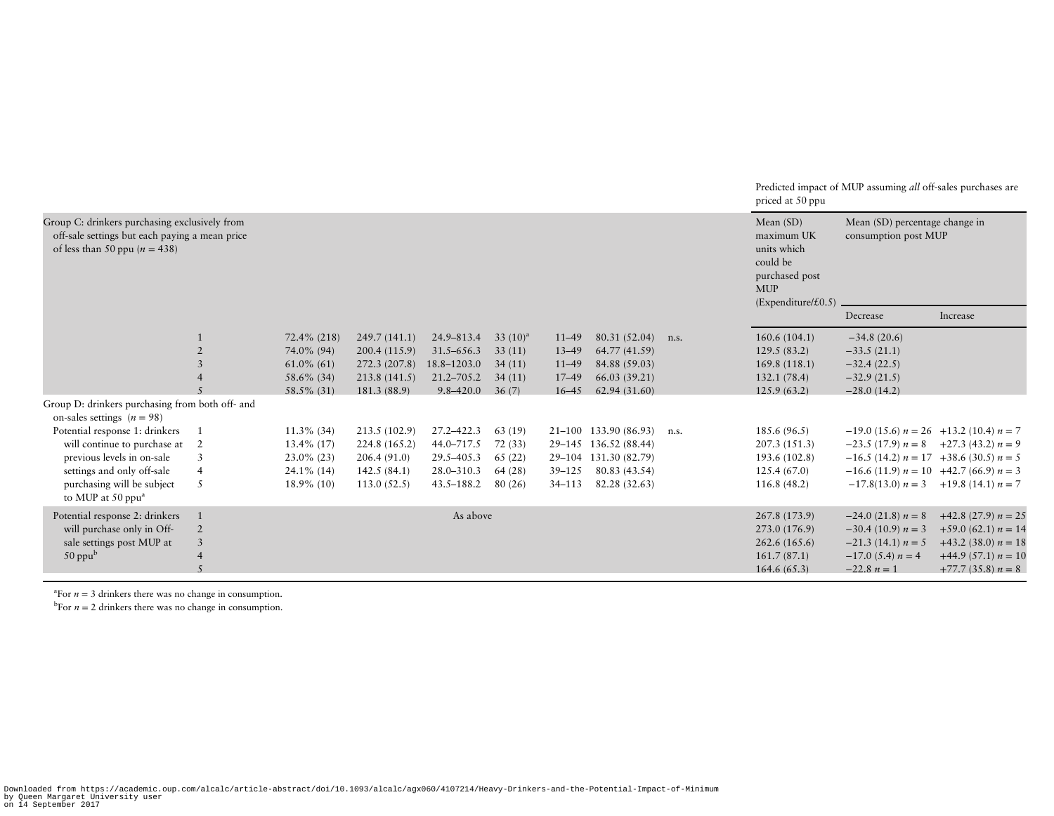|                                                                                                                                                                                                                                             |                                                      |                                                                                                                                                       |                                                                                                                                                                |                                                                                                                                                          |                                                                                                       |                                                                                           |                                                                                                                                                                                               |              | Predicted impact of MUP assuming all off-sales purchases are<br>priced at 50 ppu                                                                                                  |                                                                                                                                                                                                                                                                              |                                                                                                                             |  |  |
|---------------------------------------------------------------------------------------------------------------------------------------------------------------------------------------------------------------------------------------------|------------------------------------------------------|-------------------------------------------------------------------------------------------------------------------------------------------------------|----------------------------------------------------------------------------------------------------------------------------------------------------------------|----------------------------------------------------------------------------------------------------------------------------------------------------------|-------------------------------------------------------------------------------------------------------|-------------------------------------------------------------------------------------------|-----------------------------------------------------------------------------------------------------------------------------------------------------------------------------------------------|--------------|-----------------------------------------------------------------------------------------------------------------------------------------------------------------------------------|------------------------------------------------------------------------------------------------------------------------------------------------------------------------------------------------------------------------------------------------------------------------------|-----------------------------------------------------------------------------------------------------------------------------|--|--|
| Group C: drinkers purchasing exclusively from<br>off-sale settings but each paying a mean price<br>of less than 50 ppu ( $n = 438$ )                                                                                                        |                                                      |                                                                                                                                                       |                                                                                                                                                                |                                                                                                                                                          |                                                                                                       |                                                                                           |                                                                                                                                                                                               |              | Mean $(SD)$<br>Mean (SD) percentage change in<br>maximum UK<br>consumption post MUP<br>units which<br>could be<br>purchased post<br><b>MUP</b><br>$(Expectediture / \pounds 0.5)$ |                                                                                                                                                                                                                                                                              |                                                                                                                             |  |  |
|                                                                                                                                                                                                                                             |                                                      |                                                                                                                                                       |                                                                                                                                                                |                                                                                                                                                          |                                                                                                       |                                                                                           |                                                                                                                                                                                               |              |                                                                                                                                                                                   | Decrease                                                                                                                                                                                                                                                                     | Increase                                                                                                                    |  |  |
| Group D: drinkers purchasing from both off- and<br>on-sales settings $(n = 98)$<br>Potential response 1: drinkers<br>will continue to purchase at<br>previous levels in on-sale<br>settings and only off-sale<br>purchasing will be subject | $\overline{2}$<br>3<br>2<br>3<br>$\overline{4}$<br>5 | 72.4% (218)<br>74.0% (94)<br>$61.0\%$ (61)<br>58.6% (34)<br>58.5% (31)<br>$11.3\%$ (34)<br>13.4% (17)<br>$23.0\%$ (23)<br>24.1% (14)<br>$18.9\%$ (10) | 249.7(141.1)<br>200.4 (115.9)<br>272.3 (207.8)<br>213.8 (141.5)<br>181.3 (88.9)<br>213.5 (102.9)<br>224.8 (165.2)<br>206.4(91.0)<br>142.5(84.1)<br>113.0(52.5) | 24.9-813.4<br>$31.5 - 656.3$<br>18.8-1203.0<br>$21.2 - 705.2$<br>$9.8 - 420.0$<br>27.2-422.3<br>44.0-717.5<br>29.5-405.3<br>28.0-310.3<br>$43.5 - 188.2$ | 33 $(10)^a$<br>33(11)<br>34(11)<br>34(11)<br>36(7)<br>63 (19)<br>72(33)<br>65(22)<br>64(28)<br>80(26) | $11 - 49$<br>$13 - 49$<br>$11 - 49$<br>$17 - 49$<br>$16 - 45$<br>$39 - 125$<br>$34 - 113$ | 80.31 (52.04)<br>64.77 (41.59)<br>84.88 (59.03)<br>66.03 (39.21)<br>62.94(31.60)<br>21-100 133.90 (86.93)<br>29-145 136.52 (88.44)<br>29-104 131.30 (82.79)<br>80.83 (43.54)<br>82.28 (32.63) | n.s.<br>n.s. | 160.6(104.1)<br>129.5(83.2)<br>169.8(118.1)<br>132.1(78.4)<br>125.9(63.2)<br>185.6(96.5)<br>207.3 (151.3)<br>193.6 (102.8)<br>125.4(67.0)<br>116.8(48.2)                          | $-34.8(20.6)$<br>$-33.5(21.1)$<br>$-32.4(22.5)$<br>$-32.9(21.5)$<br>$-28.0(14.2)$<br>$-19.0$ (15.6) $n = 26$ +13.2 (10.4) $n = 7$<br>$-23.5(17.9) n = 8$ $+27.3(43.2) n = 9$<br>$-16.5$ (14.2) $n = 17$ +38.6 (30.5) $n = 5$<br>$-16.6$ (11.9) $n = 10$ +42.7 (66.9) $n = 3$ | $-17.8(13.0) n = 3 +19.8(14.1) n = 7$                                                                                       |  |  |
| to MUP at 50 ppu <sup>a</sup><br>Potential response 2: drinkers<br>will purchase only in Off-<br>sale settings post MUP at<br>$50$ ppu $b$                                                                                                  | $\overline{2}$<br>3                                  |                                                                                                                                                       |                                                                                                                                                                | As above                                                                                                                                                 |                                                                                                       |                                                                                           |                                                                                                                                                                                               |              | 267.8 (173.9)<br>273.0 (176.9)<br>262.6(165.6)<br>161.7(87.1)<br>164.6(65.3)                                                                                                      | $-24.0$ (21.8) $n = 8$<br>$-30.4$ (10.9) $n = 3$<br>$-21.3$ (14.1) $n = 5$<br>$-17.0$ (5.4) $n = 4$<br>$-22.8 n=1$                                                                                                                                                           | $+42.8$ (27.9) $n = 25$<br>$+59.0(62.1)n = 14$<br>$+43.2$ (38.0) $n = 18$<br>$+44.9$ (57.1) $n = 10$<br>$+77.7(35.8) n = 8$ |  |  |

 $n = 3$  drinkers there was no change in consumption.

 $\rm{b}$ For  $n = 2$  drinkers there was no change in consumption.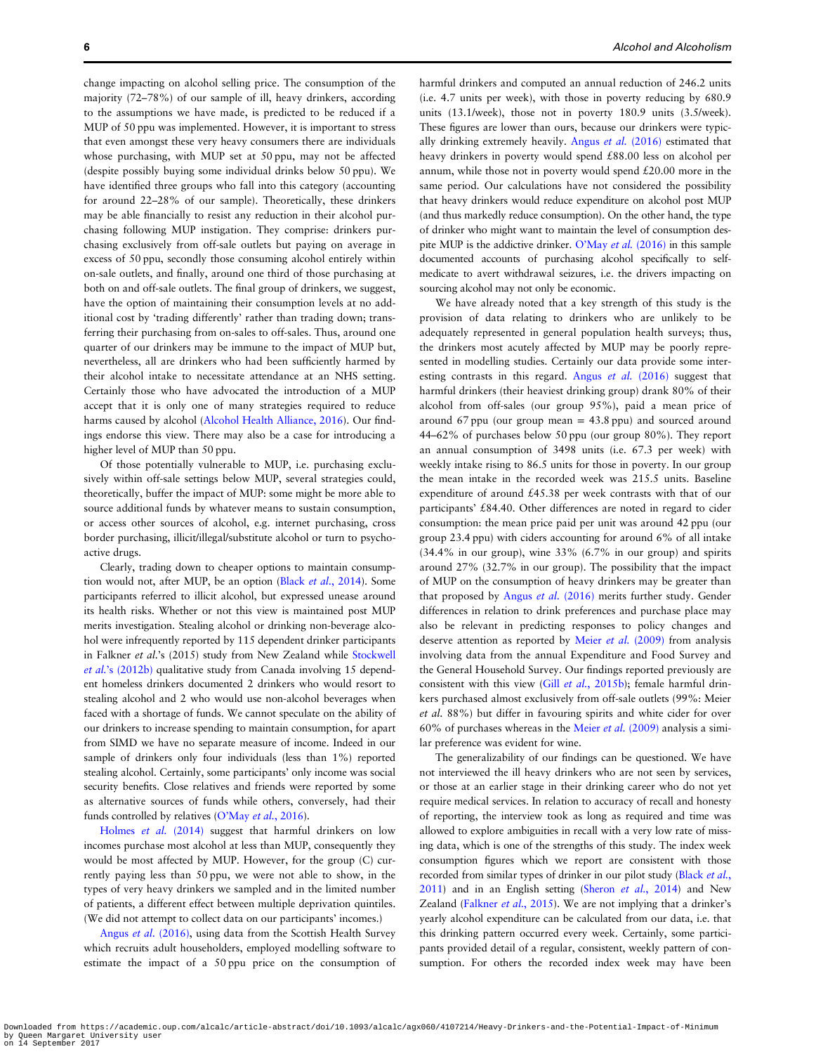change impacting on alcohol selling price. The consumption of the majority (72–78%) of our sample of ill, heavy drinkers, according to the assumptions we have made, is predicted to be reduced if a MUP of 50 ppu was implemented. However, it is important to stress that even amongst these very heavy consumers there are individuals whose purchasing, with MUP set at 50 ppu, may not be affected (despite possibly buying some individual drinks below 50 ppu). We have identified three groups who fall into this category (accounting for around 22–28% of our sample). Theoretically, these drinkers may be able financially to resist any reduction in their alcohol purchasing following MUP instigation. They comprise: drinkers purchasing exclusively from off-sale outlets but paying on average in excess of 50 ppu, secondly those consuming alcohol entirely within on-sale outlets, and finally, around one third of those purchasing at both on and off-sale outlets. The final group of drinkers, we suggest, have the option of maintaining their consumption levels at no additional cost by 'trading differently' rather than trading down; transferring their purchasing from on-sales to off-sales. Thus, around one quarter of our drinkers may be immune to the impact of MUP but, nevertheless, all are drinkers who had been sufficiently harmed by their alcohol intake to necessitate attendance at an NHS setting. Certainly those who have advocated the introduction of a MUP accept that it is only one of many strategies required to reduce harms caused by alcohol ([Alcohol Health Alliance, 2016](#page-6-0)). Our findings endorse this view. There may also be a case for introducing a higher level of MUP than 50 ppu.

Of those potentially vulnerable to MUP, i.e. purchasing exclusively within off-sale settings below MUP, several strategies could, theoretically, buffer the impact of MUP: some might be more able to source additional funds by whatever means to sustain consumption, or access other sources of alcohol, e.g. internet purchasing, cross border purchasing, illicit/illegal/substitute alcohol or turn to psychoactive drugs.

Clearly, trading down to cheaper options to maintain consump-tion would not, after MUP, be an option (Black et al.[, 2014](#page-6-0)). Some participants referred to illicit alcohol, but expressed unease around its health risks. Whether or not this view is maintained post MUP merits investigation. Stealing alcohol or drinking non-beverage alcohol were infrequently reported by 115 dependent drinker participants in Falkner et al.'s (2015) study from New Zealand while [Stockwell](#page-7-0) et al.'[s \(2012b\)](#page-7-0) qualitative study from Canada involving 15 dependent homeless drinkers documented 2 drinkers who would resort to stealing alcohol and 2 who would use non-alcohol beverages when faced with a shortage of funds. We cannot speculate on the ability of our drinkers to increase spending to maintain consumption, for apart from SIMD we have no separate measure of income. Indeed in our sample of drinkers only four individuals (less than 1%) reported stealing alcohol. Certainly, some participants' only income was social security benefits. Close relatives and friends were reported by some as alternative sources of funds while others, conversely, had their funds controlled by relatives (O'May et al.[, 2016\)](#page-6-0).

[Holmes](#page-6-0) et al. (2014) suggest that harmful drinkers on low incomes purchase most alcohol at less than MUP, consequently they would be most affected by MUP. However, for the group (C) currently paying less than 50 ppu, we were not able to show, in the types of very heavy drinkers we sampled and in the limited number of patients, a different effect between multiple deprivation quintiles. (We did not attempt to collect data on our participants' incomes.)

Angus et al. [\(2016\)](#page-6-0), using data from the Scottish Health Survey which recruits adult householders, employed modelling software to estimate the impact of a 50 ppu price on the consumption of harmful drinkers and computed an annual reduction of 246.2 units (i.e. 4.7 units per week), with those in poverty reducing by 680.9 units (13.1/week), those not in poverty 180.9 units (3.5/week). These figures are lower than ours, because our drinkers were typically drinking extremely heavily. Angus et al. [\(2016\)](#page-6-0) estimated that heavy drinkers in poverty would spend £88.00 less on alcohol per annum, while those not in poverty would spend £20.00 more in the same period. Our calculations have not considered the possibility that heavy drinkers would reduce expenditure on alcohol post MUP (and thus markedly reduce consumption). On the other hand, the type of drinker who might want to maintain the level of consumption despite MUP is the addictive drinker. O'May et al. [\(2016\)](#page-6-0) in this sample documented accounts of purchasing alcohol specifically to selfmedicate to avert withdrawal seizures, i.e. the drivers impacting on sourcing alcohol may not only be economic.

We have already noted that a key strength of this study is the provision of data relating to drinkers who are unlikely to be adequately represented in general population health surveys; thus, the drinkers most acutely affected by MUP may be poorly represented in modelling studies. Certainly our data provide some interesting contrasts in this regard. Angus et al. [\(2016\)](#page-6-0) suggest that harmful drinkers (their heaviest drinking group) drank 80% of their alcohol from off-sales (our group 95%), paid a mean price of around 67 ppu (our group mean = 43.8 ppu) and sourced around 44–62% of purchases below 50 ppu (our group 80%). They report an annual consumption of 3498 units (i.e. 67.3 per week) with weekly intake rising to 86.5 units for those in poverty. In our group the mean intake in the recorded week was 215.5 units. Baseline expenditure of around £45.38 per week contrasts with that of our participants' £84.40. Other differences are noted in regard to cider consumption: the mean price paid per unit was around 42 ppu (our group 23.4 ppu) with ciders accounting for around 6% of all intake (34.4% in our group), wine 33% (6.7% in our group) and spirits around 27% (32.7% in our group). The possibility that the impact of MUP on the consumption of heavy drinkers may be greater than that proposed by Angus et al. [\(2016\)](#page-6-0) merits further study. Gender differences in relation to drink preferences and purchase place may also be relevant in predicting responses to policy changes and deserve attention as reported by Meier et al. [\(2009\)](#page-6-0) from analysis involving data from the annual Expenditure and Food Survey and the General Household Survey. Our findings reported previously are consistent with this view (Gill et al.[, 2015b](#page-6-0)); female harmful drinkers purchased almost exclusively from off-sale outlets (99%: Meier et al. 88%) but differ in favouring spirits and white cider for over 60% of purchases whereas in the Meier et al.  $(2009)$  analysis a similar preference was evident for wine.

The generalizability of our findings can be questioned. We have not interviewed the ill heavy drinkers who are not seen by services, or those at an earlier stage in their drinking career who do not yet require medical services. In relation to accuracy of recall and honesty of reporting, the interview took as long as required and time was allowed to explore ambiguities in recall with a very low rate of missing data, which is one of the strengths of this study. The index week consumption figures which we report are consistent with those recorded from similar types of drinker in our pilot study ([Black](#page-6-0) et al., [2011](#page-6-0)) and in an English setting (Sheron et al.[, 2014\)](#page-7-0) and New Zealand [\(Falkner](#page-6-0) et al., 2015). We are not implying that a drinker's yearly alcohol expenditure can be calculated from our data, i.e. that this drinking pattern occurred every week. Certainly, some participants provided detail of a regular, consistent, weekly pattern of consumption. For others the recorded index week may have been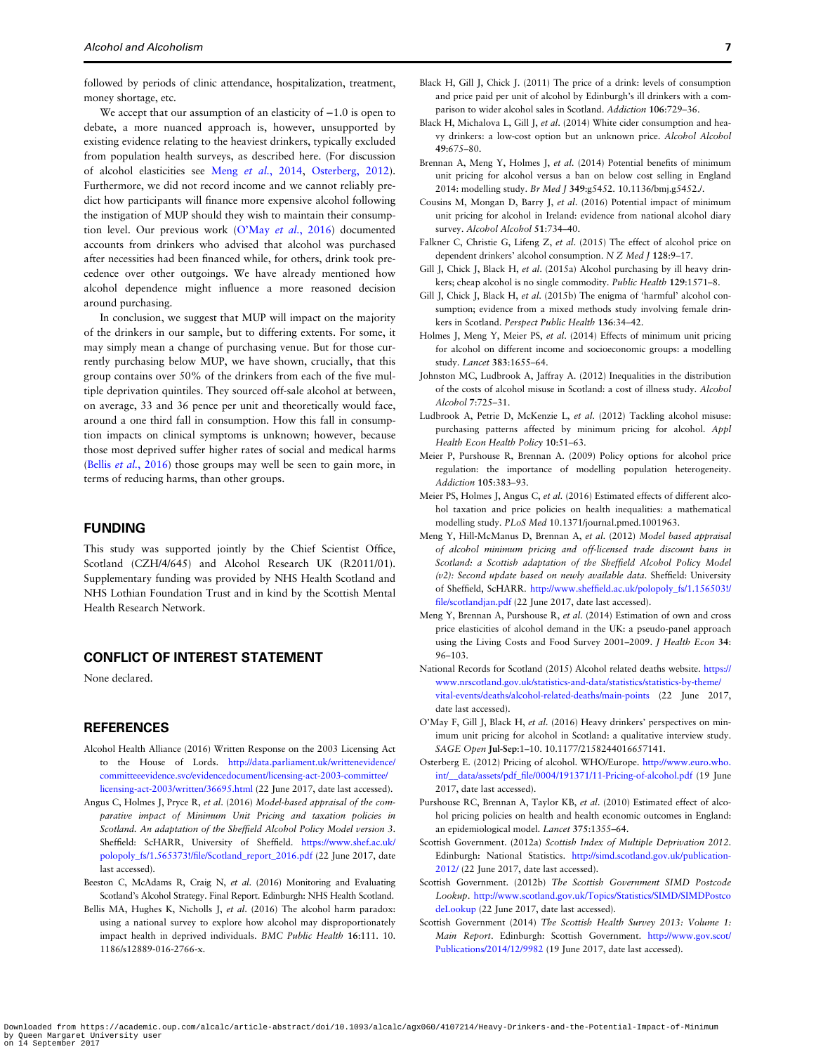<span id="page-6-0"></span>followed by periods of clinic attendance, hospitalization, treatment, money shortage, etc.

We accept that our assumption of an elasticity of  $-1.0$  is open to debate, a more nuanced approach is, however, unsupported by existing evidence relating to the heaviest drinkers, typically excluded from population health surveys, as described here. (For discussion of alcohol elasticities see Meng et al., 2014, Osterberg, 2012). Furthermore, we did not record income and we cannot reliably predict how participants will finance more expensive alcohol following the instigation of MUP should they wish to maintain their consumption level. Our previous work (O'May et al., 2016) documented accounts from drinkers who advised that alcohol was purchased after necessities had been financed while, for others, drink took precedence over other outgoings. We have already mentioned how alcohol dependence might influence a more reasoned decision around purchasing.

In conclusion, we suggest that MUP will impact on the majority of the drinkers in our sample, but to differing extents. For some, it may simply mean a change of purchasing venue. But for those currently purchasing below MUP, we have shown, crucially, that this group contains over 50% of the drinkers from each of the five multiple deprivation quintiles. They sourced off-sale alcohol at between, on average, 33 and 36 pence per unit and theoretically would face, around a one third fall in consumption. How this fall in consumption impacts on clinical symptoms is unknown; however, because those most deprived suffer higher rates of social and medical harms (Bellis et al., 2016) those groups may well be seen to gain more, in terms of reducing harms, than other groups.

### FUNDING

This study was supported jointly by the Chief Scientist Office, Scotland (CZH/4/645) and Alcohol Research UK (R2011/01). Supplementary funding was provided by NHS Health Scotland and NHS Lothian Foundation Trust and in kind by the Scottish Mental Health Research Network.

# CONFLICT OF INTEREST STATEMENT

None declared.

# **REFERENCES**

- Alcohol Health Alliance (2016) Written Response on the 2003 Licensing Act to the House of Lords. [http://data.parliament.uk/writtenevidence/](http://data.parliament.uk/writtenevidence/committeeevidence.svc/evidencedocument/licensing-act-2003-committee/licensing-act-2003/written/36695.html) [committeeevidence.svc/evidencedocument/licensing-act-2003-committee/](http://data.parliament.uk/writtenevidence/committeeevidence.svc/evidencedocument/licensing-act-2003-committee/licensing-act-2003/written/36695.html) [licensing-act-2003/written/36695.html](http://data.parliament.uk/writtenevidence/committeeevidence.svc/evidencedocument/licensing-act-2003-committee/licensing-act-2003/written/36695.html) (22 June 2017, date last accessed).
- Angus C, Holmes J, Pryce R, et al. (2016) Model-based appraisal of the comparative impact of Minimum Unit Pricing and taxation policies in Scotland. An adaptation of the Sheffield Alcohol Policy Model version 3. Sheffield: ScHARR, University of Sheffield. [https://www.shef.ac.uk/](https://www.shef.ac.uk/polopoly_fs/1.565373!/file/Scotland_report_2016.pdf) polopoly\_fs/1.565373!/fi[le/Scotland\\_report\\_2016.pdf](https://www.shef.ac.uk/polopoly_fs/1.565373!/file/Scotland_report_2016.pdf) (22 June 2017, date last accessed).
- Beeston C, McAdams R, Craig N, et al. (2016) Monitoring and Evaluating Scotland's Alcohol Strategy. Final Report. Edinburgh: NHS Health Scotland.
- Bellis MA, Hughes K, Nicholls J, et al. (2016) The alcohol harm paradox: using a national survey to explore how alcohol may disproportionately impact health in deprived individuals. BMC Public Health 16:111. [10.](http://dx.doi.org/10.1186/s12889-016-2766-x) [1186/s12889-016-2766-x](http://dx.doi.org/10.1186/s12889-016-2766-x).
- Black H, Gill J, Chick J. (2011) The price of a drink: levels of consumption and price paid per unit of alcohol by Edinburgh's ill drinkers with a comparison to wider alcohol sales in Scotland. Addiction 106:729–36.
- Black H, Michalova L, Gill J, et al. (2014) White cider consumption and heavy drinkers: a low-cost option but an unknown price. Alcohol Alcohol 49:675–80.
- Brennan A, Meng Y, Holmes J, et al. (2014) Potential benefits of minimum unit pricing for alcohol versus a ban on below cost selling in England 2014: modelling study. Br Med J 349:g5452. [10.1136/bmj.g5452./](http://dx.doi.org/10.1136/bmj.g5452./).
- Cousins M, Mongan D, Barry J, et al. (2016) Potential impact of minimum unit pricing for alcohol in Ireland: evidence from national alcohol diary survey. Alcohol Alcohol 51:734–40.
- Falkner C, Christie G, Lifeng Z, et al. (2015) The effect of alcohol price on dependent drinkers' alcohol consumption. N Z Med J 128:9–17.
- Gill J, Chick J, Black H, et al. (2015a) Alcohol purchasing by ill heavy drinkers; cheap alcohol is no single commodity. Public Health 129:1571–8.
- Gill J, Chick J, Black H, et al. (2015b) The enigma of 'harmful' alcohol consumption; evidence from a mixed methods study involving female drinkers in Scotland. Perspect Public Health 136:34–42.
- Holmes J, Meng Y, Meier PS, et al. (2014) Effects of minimum unit pricing for alcohol on different income and socioeconomic groups: a modelling study. Lancet 383:1655–64.
- Johnston MC, Ludbrook A, Jaffray A. (2012) Inequalities in the distribution of the costs of alcohol misuse in Scotland: a cost of illness study. Alcohol Alcohol 7:725–31.
- Ludbrook A, Petrie D, McKenzie L, et al. (2012) Tackling alcohol misuse: purchasing patterns affected by minimum pricing for alcohol. Appl Health Econ Health Policy 10:51–63.
- Meier P, Purshouse R, Brennan A. (2009) Policy options for alcohol price regulation: the importance of modelling population heterogeneity. Addiction 105:383–93.
- Meier PS, Holmes J, Angus C, et al. (2016) Estimated effects of different alcohol taxation and price policies on health inequalities: a mathematical modelling study. PLoS Med [10.1371/journal.pmed.1001963.](http://dx.doi.org/10.1371/journal.pmed.1001963)
- Meng Y, Hill-McManus D, Brennan A, et al. (2012) Model based appraisal of alcohol minimum pricing and off-licensed trade discount bans in Scotland: a Scottish adaptation of the Sheffield Alcohol Policy Model (v2): Second update based on newly available data. Sheffield: University of Sheffield, ScHARR. http://www.sheffi[eld.ac.uk/polopoly\\_fs/1.156503!/](http://www.sheffield.ac.uk/polopoly_fs/1.156503!/file/scotlandjan.pdf) fi[le/scotlandjan.pdf](http://www.sheffield.ac.uk/polopoly_fs/1.156503!/file/scotlandjan.pdf) (22 June 2017, date last accessed).
- Meng Y, Brennan A, Purshouse R, et al. (2014) Estimation of own and cross price elasticities of alcohol demand in the UK: a pseudo-panel approach using the Living Costs and Food Survey 2001–2009. J Health Econ 34: 96–103.
- National Records for Scotland (2015) Alcohol related deaths website. [https://](https://www.nrscotland.gov.uk/statistics-and-data/statistics/statistics-by-theme/vital-events/deaths/alcohol-related-deaths/main-points) [www.nrscotland.gov.uk/statistics-and-data/statistics/statistics-by-theme/](https://www.nrscotland.gov.uk/statistics-and-data/statistics/statistics-by-theme/vital-events/deaths/alcohol-related-deaths/main-points) [vital-events/deaths/alcohol-related-deaths/main-points](https://www.nrscotland.gov.uk/statistics-and-data/statistics/statistics-by-theme/vital-events/deaths/alcohol-related-deaths/main-points) (22 June 2017, date last accessed).
- O'May F, Gill J, Black H, et al. (2016) Heavy drinkers' perspectives on minimum unit pricing for alcohol in Scotland: a qualitative interview study. SAGE Open Jul-Sep:1–10. [10.1177/2158244016657141.](http://dx.doi.org/10.1177/2158244016657141)
- Osterberg E. (2012) Pricing of alcohol. WHO/Europe. [http://www.euro.who.](http://www.euro.who.int/__data/assets/pdf_file/0004/191371/11-Pricing-of-alcohol.pdf) int/\_\_data/assets/pdf\_fi[le/0004/191371/11-Pricing-of-alcohol.pdf](http://www.euro.who.int/__data/assets/pdf_file/0004/191371/11-Pricing-of-alcohol.pdf) (19 June 2017, date last accessed).
- Purshouse RC, Brennan A, Taylor KB, et al. (2010) Estimated effect of alcohol pricing policies on health and health economic outcomes in England: an epidemiological model. Lancet 375:1355–64.
- Scottish Government. (2012a) Scottish Index of Multiple Deprivation 2012. Edinburgh: National Statistics. [http://simd.scotland.gov.uk/publication-](http://simd.scotland.gov.uk/publication-2012/)[2012/](http://simd.scotland.gov.uk/publication-2012/) (22 June 2017, date last accessed).
- Scottish Government. (2012b) The Scottish Government SIMD Postcode Lookup. [http://www.scotland.gov.uk/Topics/Statistics/SIMD/SIMDPostco](http://www.scotland.gov.uk/Topics/Statistics/SIMD/SIMDPostcodeLookup) [deLookup](http://www.scotland.gov.uk/Topics/Statistics/SIMD/SIMDPostcodeLookup) (22 June 2017, date last accessed).
- Scottish Government (2014) The Scottish Health Survey 2013: Volume 1: Main Report. Edinburgh: Scottish Government. [http://www.gov.scot/](http://www.gov.scot/Publications/2014/12/9982) [Publications/2014/12/9982](http://www.gov.scot/Publications/2014/12/9982) (19 June 2017, date last accessed).